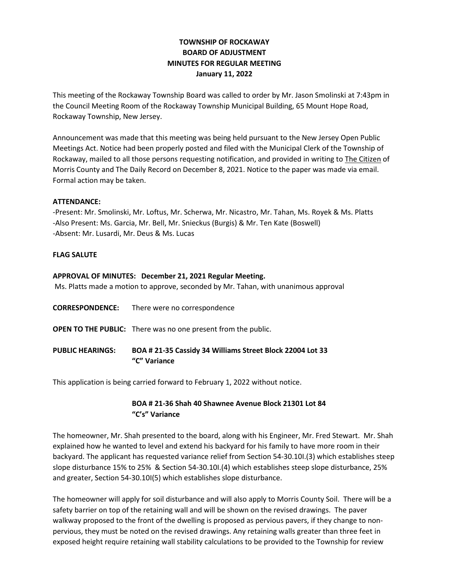# **TOWNSHIP OF ROCKAWAY BOARD OF ADJUSTMENT MINUTES FOR REGULAR MEETING January 11, 2022**

This meeting of the Rockaway Township Board was called to order by Mr. Jason Smolinski at 7:43pm in the Council Meeting Room of the Rockaway Township Municipal Building, 65 Mount Hope Road, Rockaway Township, New Jersey.

Announcement was made that this meeting was being held pursuant to the New Jersey Open Public Meetings Act. Notice had been properly posted and filed with the Municipal Clerk of the Township of Rockaway, mailed to all those persons requesting notification, and provided in writing to The Citizen of Morris County and The Daily Record on December 8, 2021. Notice to the paper was made via email. Formal action may be taken.

#### **ATTENDANCE:**

-Present: Mr. Smolinski, Mr. Loftus, Mr. Scherwa, Mr. Nicastro, Mr. Tahan, Ms. Royek & Ms. Platts -Also Present: Ms. Garcia, Mr. Bell, Mr. Snieckus (Burgis) & Mr. Ten Kate (Boswell) -Absent: Mr. Lusardi, Mr. Deus & Ms. Lucas

### **FLAG SALUTE**

#### **APPROVAL OF MINUTES: December 21, 2021 Regular Meeting.**

Ms. Platts made a motion to approve, seconded by Mr. Tahan, with unanimous approval

- **CORRESPONDENCE:** There were no correspondence
- **OPEN TO THE PUBLIC:** There was no one present from the public.
- **PUBLIC HEARINGS: BOA # 21-35 Cassidy 34 Williams Street Block 22004 Lot 33 "C" Variance**

This application is being carried forward to February 1, 2022 without notice.

## **BOA # 21-36 Shah 40 Shawnee Avenue Block 21301 Lot 84 "C's" Variance**

The homeowner, Mr. Shah presented to the board, along with his Engineer, Mr. Fred Stewart. Mr. Shah explained how he wanted to level and extend his backyard for his family to have more room in their backyard. The applicant has requested variance relief from Section 54-30.10I.(3) which establishes steep slope disturbance 15% to 25% & Section 54-30.10I.(4) which establishes steep slope disturbance, 25% and greater, Section 54-30.10I(5) which establishes slope disturbance.

The homeowner will apply for soil disturbance and will also apply to Morris County Soil. There will be a safety barrier on top of the retaining wall and will be shown on the revised drawings. The paver walkway proposed to the front of the dwelling is proposed as pervious pavers, if they change to nonpervious, they must be noted on the revised drawings. Any retaining walls greater than three feet in exposed height require retaining wall stability calculations to be provided to the Township for review